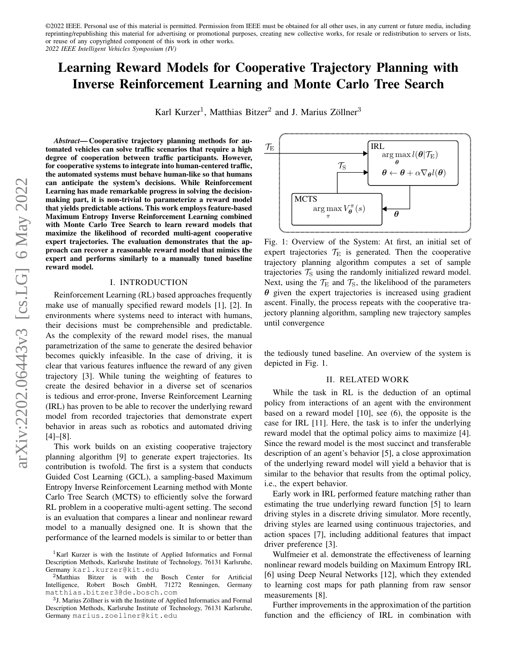# Learning Reward Models for Cooperative Trajectory Planning with Inverse Reinforcement Learning and Monte Carlo Tree Search

Karl Kurzer<sup>1</sup>, Matthias Bitzer<sup>2</sup> and J. Marius Zöllner<sup>3</sup>

*Abstract*— Cooperative trajectory planning methods for automated vehicles can solve traffic scenarios that require a high degree of cooperation between traffic participants. However, for cooperative systems to integrate into human-centered traffic, the automated systems must behave human-like so that humans can anticipate the system's decisions. While Reinforcement Learning has made remarkable progress in solving the decisionmaking part, it is non-trivial to parameterize a reward model that yields predictable actions. This work employs feature-based Maximum Entropy Inverse Reinforcement Learning combined with Monte Carlo Tree Search to learn reward models that maximize the likelihood of recorded multi-agent cooperative expert trajectories. The evaluation demonstrates that the approach can recover a reasonable reward model that mimics the expert and performs similarly to a manually tuned baseline reward model.

#### I. INTRODUCTION

Reinforcement Learning (RL) based approaches frequently make use of manually specified reward models [1], [2]. In environments where systems need to interact with humans, their decisions must be comprehensible and predictable. As the complexity of the reward model rises, the manual parametrization of the same to generate the desired behavior becomes quickly infeasible. In the case of driving, it is clear that various features influence the reward of any given trajectory [3]. While tuning the weighting of features to create the desired behavior in a diverse set of scenarios is tedious and error-prone, Inverse Reinforcement Learning (IRL) has proven to be able to recover the underlying reward model from recorded trajectories that demonstrate expert behavior in areas such as robotics and automated driving [4]–[8].

This work builds on an existing cooperative trajectory planning algorithm [9] to generate expert trajectories. Its contribution is twofold. The first is a system that conducts Guided Cost Learning (GCL), a sampling-based Maximum Entropy Inverse Reinforcement Learning method with Monte Carlo Tree Search (MCTS) to efficiently solve the forward RL problem in a cooperative multi-agent setting. The second is an evaluation that compares a linear and nonlinear reward model to a manually designed one. It is shown that the performance of the learned models is similar to or better than

<span id="page-0-0"></span>

Fig. 1: Overview of the System: At first, an initial set of expert trajectories  $\mathcal{T}_E$  is generated. Then the cooperative trajectory planning algorithm computes a set of sample trajectories  $\mathcal{T}_\text{S}$  using the randomly initialized reward model. Next, using the  $\mathcal{T}_E$  and  $\mathcal{T}_S$ , the likelihood of the parameters  $\theta$  given the expert trajectories is increased using gradient ascent. Finally, the process repeats with the cooperative trajectory planning algorithm, sampling new trajectory samples until convergence

the tediously tuned baseline. An overview of the system is depicted in Fig. [1.](#page-0-0)

## II. RELATED WORK

While the task in RL is the deduction of an optimal policy from interactions of an agent with the environment based on a reward model [10], see [\(6\)](#page-1-0), the opposite is the case for IRL [11]. Here, the task is to infer the underlying reward model that the optimal policy aims to maximize [4]. Since the reward model is the most succinct and transferable description of an agent's behavior [5], a close approximation of the underlying reward model will yield a behavior that is similar to the behavior that results from the optimal policy, i.e., the expert behavior.

Early work in IRL performed feature matching rather than estimating the true underlying reward function [5] to learn driving styles in a discrete driving simulator. More recently, driving styles are learned using continuous trajectories, and action spaces [7], including additional features that impact driver preference [3].

Wulfmeier et al. demonstrate the effectiveness of learning nonlinear reward models building on Maximum Entropy IRL [6] using Deep Neural Networks [12], which they extended to learning cost maps for path planning from raw sensor measurements [8].

Further improvements in the approximation of the partition function and the efficiency of IRL in combination with

<sup>&</sup>lt;sup>1</sup>Karl Kurzer is with the Institute of Applied Informatics and Formal Description Methods, Karlsruhe Institute of Technology, 76131 Karlsruhe, Germany karl.kurzer@kit.edu

<sup>&</sup>lt;sup>2</sup>Matthias Bitzer is with the Bosch Center for Artificial Intelligence, Robert Bosch GmbH, 71272 Renningen, Germany matthias.bitzer3@de.bosch.com

<sup>&</sup>lt;sup>3</sup>J. Marius Zöllner is with the Institute of Applied Informatics and Formal Description Methods, Karlsruhe Institute of Technology, 76131 Karlsruhe, Germany marius.zoellner@kit.edu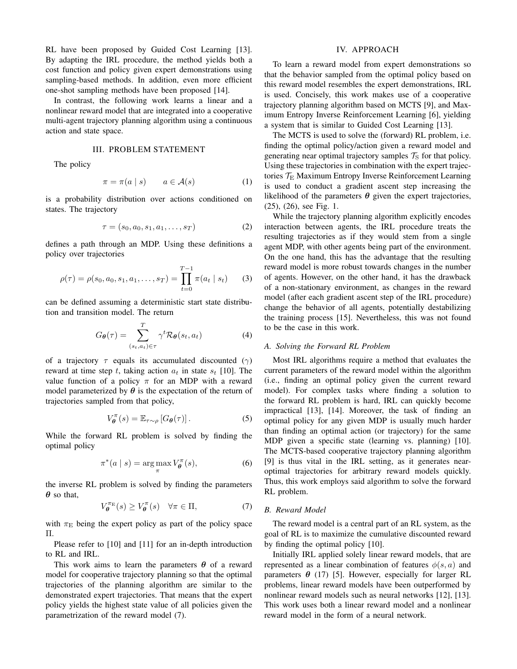RL have been proposed by Guided Cost Learning [13]. By adapting the IRL procedure, the method yields both a cost function and policy given expert demonstrations using sampling-based methods. In addition, even more efficient one-shot sampling methods have been proposed [14].

In contrast, the following work learns a linear and a nonlinear reward model that are integrated into a cooperative multi-agent trajectory planning algorithm using a continuous action and state space.

## III. PROBLEM STATEMENT

The policy

<span id="page-1-2"></span>
$$
\pi = \pi(a \mid s) \qquad a \in \mathcal{A}(s) \tag{1}
$$

is a probability distribution over actions conditioned on states. The trajectory

$$
\tau = (s_0, a_0, s_1, a_1, \dots, s_T) \tag{2}
$$

defines a path through an MDP. Using these definitions a policy over trajectories

<span id="page-1-3"></span>
$$
\rho(\tau) = \rho(s_0, a_0, s_1, a_1, \dots, s_T) = \prod_{t=0}^{T-1} \pi(a_t \mid s_t)
$$
 (3)

can be defined assuming a deterministic start state distribution and transition model. The return

<span id="page-1-4"></span>
$$
G_{\theta}(\tau) = \sum_{(s_t, a_t) \in \tau}^{T} \gamma^t \mathcal{R}_{\theta}(s_t, a_t)
$$
 (4)

of a trajectory  $\tau$  equals its accumulated discounted ( $\gamma$ ) reward at time step t, taking action  $a_t$  in state  $s_t$  [10]. The value function of a policy  $\pi$  for an MDP with a reward model parameterized by  $\theta$  is the expectation of the return of trajectories sampled from that policy,

$$
V_{\theta}^{\pi}(s) = \mathbb{E}_{\tau \sim \rho} \left[ G_{\theta}(\tau) \right]. \tag{5}
$$

While the forward RL problem is solved by finding the optimal policy

<span id="page-1-0"></span>
$$
\pi^*(a \mid s) = \arg\max_{\pi} V_{\theta}^{\pi}(s),\tag{6}
$$

the inverse RL problem is solved by finding the parameters  $\theta$  so that,

<span id="page-1-1"></span>
$$
V_{\theta}^{\pi_{\mathcal{E}}}(s) \ge V_{\theta}^{\pi}(s) \quad \forall \pi \in \Pi,
$$
 (7)

with  $\pi_{\rm E}$  being the expert policy as part of the policy space Π.

Please refer to [10] and [11] for an in-depth introduction to RL and IRL.

This work aims to learn the parameters  $\theta$  of a reward model for cooperative trajectory planning so that the optimal trajectories of the planning algorithm are similar to the demonstrated expert trajectories. That means that the expert policy yields the highest state value of all policies given the parametrization of the reward model [\(7\)](#page-1-1).

## IV. APPROACH

To learn a reward model from expert demonstrations so that the behavior sampled from the optimal policy based on this reward model resembles the expert demonstrations, IRL is used. Concisely, this work makes use of a cooperative trajectory planning algorithm based on MCTS [9], and Maximum Entropy Inverse Reinforcement Learning [6], yielding a system that is similar to Guided Cost Learning [13].

The MCTS is used to solve the (forward) RL problem, i.e. finding the optimal policy/action given a reward model and generating near optimal trajectory samples  $\mathcal{T}_S$  for that policy. Using these trajectories in combination with the expert trajectories  $\mathcal{T}_E$  Maximum Entropy Inverse Reinforcement Learning is used to conduct a gradient ascent step increasing the likelihood of the parameters  $\theta$  given the expert trajectories, [\(25\)](#page-3-0), [\(26\)](#page-3-1), see Fig. [1.](#page-0-0)

While the trajectory planning algorithm explicitly encodes interaction between agents, the IRL procedure treats the resulting trajectories as if they would stem from a single agent MDP, with other agents being part of the environment. On the one hand, this has the advantage that the resulting reward model is more robust towards changes in the number of agents. However, on the other hand, it has the drawback of a non-stationary environment, as changes in the reward model (after each gradient ascent step of the IRL procedure) change the behavior of all agents, potentially destabilizing the training process [15]. Nevertheless, this was not found to be the case in this work.

# *A. Solving the Forward RL Problem*

Most IRL algorithms require a method that evaluates the current parameters of the reward model within the algorithm (i.e., finding an optimal policy given the current reward model). For complex tasks where finding a solution to the forward RL problem is hard, IRL can quickly become impractical [13], [14]. Moreover, the task of finding an optimal policy for any given MDP is usually much harder than finding an optimal action (or trajectory) for the same MDP given a specific state (learning vs. planning) [10]. The MCTS-based cooperative trajectory planning algorithm [9] is thus vital in the IRL setting, as it generates nearoptimal trajectories for arbitrary reward models quickly. Thus, this work employs said algorithm to solve the forward RL problem.

#### *B. Reward Model*

The reward model is a central part of an RL system, as the goal of RL is to maximize the cumulative discounted reward by finding the optimal policy [10].

Initially IRL applied solely linear reward models, that are represented as a linear combination of features  $\phi(s, a)$  and parameters  $\theta$  [\(17\)](#page-2-0) [5]. However, especially for larger RL problems, linear reward models have been outperformed by nonlinear reward models such as neural networks [12], [13]. This work uses both a linear reward model and a nonlinear reward model in the form of a neural network.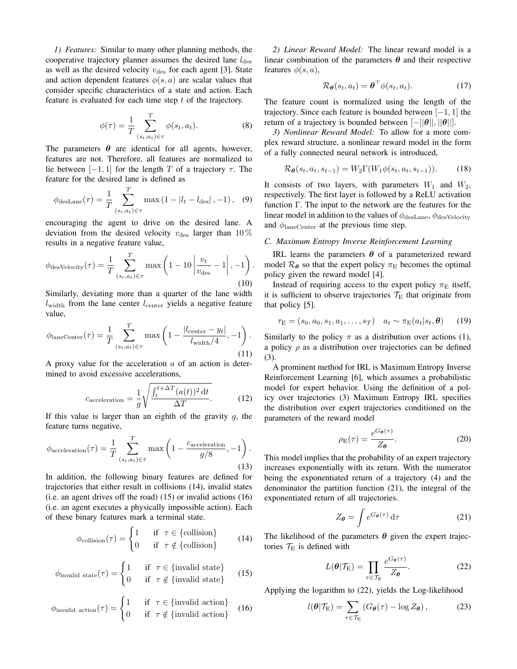*1) Features:* Similar to many other planning methods, the cooperative trajectory planner assumes the desired lane  $l_{\text{des}}$ as well as the desired velocity  $v_{\text{des}}$  for each agent [3]. State and action dependent features  $\phi(s, a)$  are scalar values that consider specific characteristics of a state and action. Each feature is evaluated for each time step t of the trajectory.

$$
\phi(\tau) = \frac{1}{T} \sum_{(s_t, a_t) \in \tau}^{T} \phi(s_t, a_t).
$$
 (8)

The parameters  $\theta$  are identical for all agents, however, features are not. Therefore, all features are normalized to lie between  $[-1, 1]$  for the length T of a trajectory  $\tau$ . The feature for the desired lane is defined as

$$
\phi_{\text{desLane}}(\tau) = \frac{1}{T} \sum_{(s_t, a_t) \in \tau}^T \max (1 - |l_t - l_{\text{des}}|, -1), \quad (9)
$$

encouraging the agent to drive on the desired lane. A deviation from the desired velocity  $v_{\text{des}}$  larger than 10 % results in a negative feature value,

$$
\phi_{\text{desVelocity}}(\tau) = \frac{1}{T} \sum_{(s_t, a_t) \in \tau}^{T} \max\left(1 - 10 \left| \frac{v_t}{v_{\text{des}}} - 1 \right|, -1\right). \tag{10}
$$

Similarly, deviating more than a quarter of the lane width  $l_{width}$  from the lane center  $l_{center}$  yields a negative feature value,

$$
\phi_{\text{laneCenter}}(\tau) = \frac{1}{T} \sum_{(s_t, a_t) \in \tau}^{T} \max\left(1 - \frac{|l_{\text{center}} - y_t|}{l_{\text{width}}/4}, -1\right). \tag{11}
$$

A proxy value for the acceleration  $a$  of an action is determined to avoid excessive accelerations,

$$
c_{\text{acceleration}} = \frac{1}{g} \sqrt{\frac{\int_{t}^{t + \Delta T} (a(t))^{2} \, \mathrm{d}t}{\Delta T}}.
$$
 (12)

If this value is larger than an eighth of the gravity  $g$ , the feature turns negative,

$$
\phi_{\text{acceleration}}(\tau) = \frac{1}{T} \sum_{(s_t, a_t) \in \tau}^T \max\left(1 - \frac{c_{\text{acceleration}}}{g/8}, -1\right). \tag{13}
$$

In addition, the following binary features are defined for trajectories that either result in collisions [\(14\)](#page-2-1), invalid states (i.e. an agent drives off the road) [\(15\)](#page-2-2) or invalid actions [\(16\)](#page-2-3) (i.e. an agent executes a physically impossible action). Each of these binary features mark a terminal state.

<span id="page-2-1"></span>
$$
\phi_{\text{collision}}(\tau) = \begin{cases} 1 & \text{if } \tau \in \{\text{collision}\} \\ 0 & \text{if } \tau \notin \{\text{collision}\} \end{cases} \tag{14}
$$

<span id="page-2-2"></span>
$$
\phi_{\text{invalid state}}(\tau) = \begin{cases} 1 & \text{if } \tau \in \{\text{invalid state}\} \\ 0 & \text{if } \tau \notin \{\text{invalid state}\} \end{cases} \tag{15}
$$

<span id="page-2-3"></span>
$$
\phi_{\text{invalid action}}(\tau) = \begin{cases} 1 & \text{if } \tau \in \{\text{invalid action}\} \\ 0 & \text{if } \tau \notin \{\text{invalid action}\} \end{cases} \tag{16}
$$

*2) Linear Reward Model:* The linear reward model is a linear combination of the parameters  $\theta$  and their respective features  $\phi(s, a)$ ,

<span id="page-2-0"></span>
$$
\mathcal{R}_{\theta}(s_t, a_t) = \theta^{\top} \phi(s_t, a_t). \tag{17}
$$

The feature count is normalized using the length of the trajectory. Since each feature is bounded between  $[-1, 1]$  the return of a trajectory is bounded between  $[-||\theta||, ||\theta||]$ .

*3) Nonlinear Reward Model:* To allow for a more complex reward structure, a nonlinear reward model in the form of a fully connected neural network is introduced,

$$
\mathcal{R}_{\boldsymbol{\theta}}(s_t, a_t, s_{t-1}) = W_2 \Gamma(W_1 \phi(s_t, a_t, s_{t-1})). \tag{18}
$$

It consists of two layers, with parameters  $W_1$  and  $W_2$ , respectively. The first layer is followed by a ReLU activation function Γ. The input to the network are the features for the linear model in addition to the values of  $\phi_{\text{desLane}}, \phi_{\text{desVelocity}}$ and  $\phi_{\text{laneCenter}}$  at the previous time step.

# *C. Maximum Entropy Inverse Reinforcement Learning*

IRL learns the parameters  $\theta$  of a parameterized reward model  $\mathcal{R}_{\theta}$  so that the expert policy  $\pi_{\rm E}$  becomes the optimal policy given the reward model [4].

Instead of requiring access to the expert policy  $\pi_{\rm E}$  itself, it is sufficient to observe trajectories  $\mathcal{T}_E$  that originate from that policy [5].

$$
\tau_{\mathcal{E}} = (s_0, a_0, s_1, a_1, \dots, s_T) \quad a_t \sim \pi_{\mathcal{E}}(a_t|s_t, \boldsymbol{\theta}) \tag{19}
$$

Similarly to the policy  $\pi$  as a distribution over actions [\(1\)](#page-1-2), a policy  $\rho$  as a distribution over trajectories can be defined [\(3\)](#page-1-3).

A prominent method for IRL is Maximum Entropy Inverse Reinforcement Learning [6], which assumes a probabilistic model for expert behavior. Using the definition of a policy over trajectories [\(3\)](#page-1-3) Maximum Entropy IRL specifies the distribution over expert trajectories conditioned on the parameters of the reward model

<span id="page-2-6"></span>
$$
\rho_{\mathcal{E}}(\tau) = \frac{e^{G_{\boldsymbol{\theta}}(\tau)}}{Z_{\boldsymbol{\theta}}}.
$$
\n(20)

This model implies that the probability of an expert trajectory increases exponentially with its return. With the numerator being the exponentiated return of a trajectory [\(4\)](#page-1-4) and the denominator the partition function [\(21\)](#page-2-4), the integral of the exponentiated return of all trajectories.

<span id="page-2-4"></span>
$$
Z_{\theta} = \int e^{G_{\theta}(\tau)} d\tau
$$
 (21)

The likelihood of the parameters  $\theta$  given the expert trajectories  $T_{\rm E}$  is defined with

<span id="page-2-5"></span>
$$
L(\theta|\mathcal{T}_{\mathcal{E}}) = \prod_{\tau \in \mathcal{T}_{\mathcal{E}}} \frac{e^{G_{\theta}(\tau)}}{Z_{\theta}}.
$$
 (22)

Applying the logarithm to [\(22\)](#page-2-5), yields the Log-likelihood

$$
l(\boldsymbol{\theta}|\mathcal{T}_{\mathrm{E}}) = \sum_{\tau \in \mathcal{T}_{\mathrm{E}}} \left( G_{\boldsymbol{\theta}}(\tau) - \log Z_{\boldsymbol{\theta}} \right),\tag{23}
$$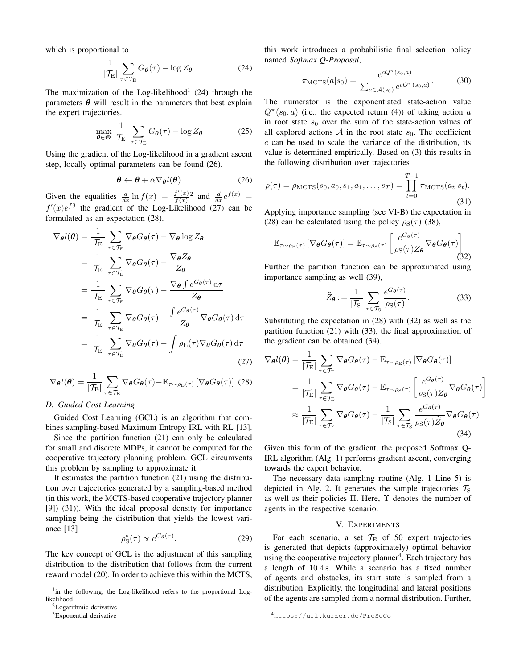which is proportional to

<span id="page-3-3"></span>
$$
\frac{1}{|\mathcal{T}_{\rm E}|} \sum_{\tau \in \mathcal{T}_{\rm E}} G_{\theta}(\tau) - \log Z_{\theta}.
$$
 (24)

The maximization of the Log-likelihood<sup>[1](#page-3-2)</sup> [\(24\)](#page-3-3) through the parameters  $\theta$  will result in the parameters that best explain the expert trajectories.

<span id="page-3-0"></span>
$$
\max_{\theta \in \Theta} \frac{1}{|\mathcal{T}_{\mathrm{E}}|} \sum_{\tau \in \mathcal{T}_{\mathrm{E}}} G_{\theta}(\tau) - \log Z_{\theta} \tag{25}
$$

Using the gradient of the Log-likelihood in a gradient ascent step, locally optimal parameters can be found [\(26\)](#page-3-1).

<span id="page-3-1"></span>
$$
\boldsymbol{\theta} \leftarrow \boldsymbol{\theta} + \alpha \nabla_{\boldsymbol{\theta}} l(\boldsymbol{\theta}) \tag{26}
$$

Given the equalities  $\frac{d}{dx} \ln f(x) = \frac{f'(x)}{f(x)}$  $\frac{f'(x)}{f(x)}$  and  $\frac{d}{dx}e^{f(x)} =$  $f'(x)e^{f3}$  $f'(x)e^{f3}$  $f'(x)e^{f3}$  the gradient of the Log-Likelihood [\(27\)](#page-3-6) can be formulated as an expectation [\(28\)](#page-3-7).

<span id="page-3-6"></span>
$$
\nabla_{\theta}l(\theta) = \frac{1}{|\mathcal{T}_{E}|} \sum_{\tau \in \mathcal{T}_{E}} \nabla_{\theta}G_{\theta}(\tau) - \nabla_{\theta} \log Z_{\theta}
$$
  
\n
$$
= \frac{1}{|\mathcal{T}_{E}|} \sum_{\tau \in \mathcal{T}_{E}} \nabla_{\theta}G_{\theta}(\tau) - \frac{\nabla_{\theta}Z_{\theta}}{Z_{\theta}}
$$
  
\n
$$
= \frac{1}{|\mathcal{T}_{E}|} \sum_{\tau \in \mathcal{T}_{E}} \nabla_{\theta}G_{\theta}(\tau) - \frac{\nabla_{\theta} \int e^{G_{\theta}(\tau)} d\tau}{Z_{\theta}}
$$
  
\n
$$
= \frac{1}{|\mathcal{T}_{E}|} \sum_{\tau \in \mathcal{T}_{E}} \nabla_{\theta}G_{\theta}(\tau) - \frac{\int e^{G_{\theta}(\tau)}}{Z_{\theta}} \nabla_{\theta}G_{\theta}(\tau) d\tau
$$
  
\n
$$
= \frac{1}{|\mathcal{T}_{E}|} \sum_{\tau \in \mathcal{T}_{E}} \nabla_{\theta}G_{\theta}(\tau) - \int \rho_{E}(\tau) \nabla_{\theta}G_{\theta}(\tau) d\tau
$$
(27)

<span id="page-3-7"></span>
$$
\nabla_{\theta}l(\theta) = \frac{1}{|\mathcal{T}_{\mathrm{E}}|} \sum_{\tau \in \mathcal{T}_{\mathrm{E}}} \nabla_{\theta} G_{\theta}(\tau) - \mathbb{E}_{\tau \sim \rho_{\mathrm{E}}(\tau)} \left[ \nabla_{\theta} G_{\theta}(\tau) \right] (28)
$$

#### *D. Guided Cost Learning*

Guided Cost Learning (GCL) is an algorithm that combines sampling-based Maximum Entropy IRL with RL [13].

Since the partition function [\(21\)](#page-2-4) can only be calculated for small and discrete MDPs, it cannot be computed for the cooperative trajectory planning problem. GCL circumvents this problem by sampling to approximate it.

It estimates the partition function [\(21\)](#page-2-4) using the distribution over trajectories generated by a sampling-based method (in this work, the MCTS-based cooperative trajectory planner [9]) [\(31\)](#page-3-8)). With the ideal proposal density for importance sampling being the distribution that yields the lowest variance [13]

$$
\rho_{\rm S}^*(\tau) \propto e^{G_{\theta}(\tau)}.\tag{29}
$$

The key concept of GCL is the adjustment of this sampling distribution to the distribution that follows from the current reward model [\(20\)](#page-2-6). In order to achieve this within the MCTS,

this work introduces a probabilistic final selection policy named *Softmax Q-Proposal*,

$$
\pi_{\text{MCTS}}(a|s_0) = \frac{e^{cQ^{\pi}(s_0, a)}}{\sum_{a \in \mathcal{A}(s_0)} e^{cQ^{\pi}(s_0, a)}}.
$$
(30)

The numerator is the exponentiated state-action value  $Q^{\pi}(s_0, a)$  (i.e., the expected return [\(4\)](#page-1-4)) of taking action a in root state  $s_0$  over the sum of the state-action values of all explored actions  $A$  in the root state  $s_0$ . The coefficient  $c$  can be used to scale the variance of the distribution, its value is determined empirically. Based on [\(3\)](#page-1-3) this results in the following distribution over trajectories

<span id="page-3-8"></span>
$$
\rho(\tau) = \rho_{\text{MCTS}}(s_0, a_0, s_1, a_1, \dots, s_T) = \prod_{t=0}^{T-1} \pi_{\text{MCTS}}(a_t|s_t).
$$
\n(31)

Applying importance sampling (see [VI-B\)](#page-5-0) the expectation in [\(28\)](#page-3-7) can be calculated using the policy  $\rho_S(\tau)$  [\(38\)](#page-6-0),

<span id="page-3-9"></span>
$$
\mathbb{E}_{\tau \sim \rho_{\mathcal{E}}(\tau)} \left[ \nabla_{\theta} G_{\theta}(\tau) \right] = \mathbb{E}_{\tau \sim \rho_{\mathcal{S}}(\tau)} \left[ \frac{e^{G_{\theta}(\tau)}}{\rho_{\mathcal{S}}(\tau) Z_{\theta}} \nabla_{\theta} G_{\theta}(\tau) \right]
$$
(32)

Further the partition function can be approximated using importance sampling as well [\(39\)](#page-6-1),

<span id="page-3-10"></span>
$$
\widehat{Z}_{\theta} := \frac{1}{|\mathcal{T}_{\mathcal{S}}|} \sum_{\tau \in \mathcal{T}_{\mathcal{S}}} \frac{e^{G_{\theta}(\tau)}}{\rho_{\mathcal{S}}(\tau)}.
$$
(33)

Substituting the expectation in [\(28\)](#page-3-7) with [\(32\)](#page-3-9) as well as the partition function [\(21\)](#page-2-4) with [\(33\)](#page-3-10), the final approximation of the gradient can be obtained [\(34\)](#page-3-11).

<span id="page-3-11"></span>
$$
\nabla_{\theta}l(\theta) = \frac{1}{|\mathcal{T}_{E}|} \sum_{\tau \in \mathcal{T}_{E}} \nabla_{\theta}G_{\theta}(\tau) - \mathbb{E}_{\tau \sim \rho_{E}(\tau)} \left[ \nabla_{\theta}G_{\theta}(\tau) \right]
$$
  
\n
$$
= \frac{1}{|\mathcal{T}_{E}|} \sum_{\tau \in \mathcal{T}_{E}} \nabla_{\theta}G_{\theta}(\tau) - \mathbb{E}_{\tau \sim \rho_{S}(\tau)} \left[ \frac{e^{G_{\theta}(\tau)}}{\rho_{S}(\tau)Z_{\theta}} \nabla_{\theta}G_{\theta}(\tau) \right]
$$
  
\n
$$
\approx \frac{1}{|\mathcal{T}_{E}|} \sum_{\tau \in \mathcal{T}_{E}} \nabla_{\theta}G_{\theta}(\tau) - \frac{1}{|\mathcal{T}_{S}|} \sum_{\tau \in \mathcal{T}_{S}} \frac{e^{G_{\theta}(\tau)}}{\rho_{S}(\tau)\widehat{Z}_{\theta}} \nabla_{\theta}G_{\theta}(\tau) \tag{34}
$$

Given this form of the gradient, the proposed Softmax Q-IRL algorithm (Alg. [1\)](#page-4-0) performs gradient ascent, converging towards the expert behavior.

The necessary data sampling routine (Alg. [1](#page-4-0) Line [5\)](#page-4-1) is depicted in Alg. [2.](#page-6-2) It generates the sample trajectories  $\mathcal{T}_S$ as well as their policies  $\Pi$ . Here,  $\Upsilon$  denotes the number of agents in the respective scenario.

# V. EXPERIMENTS

For each scenario, a set  $\mathcal{T}_E$  of 50 expert trajectories is generated that depicts (approximately) optimal behavior using the cooperative trajectory planner<sup>[4](#page-3-12)</sup>. Each trajectory has a length of 10.4 s. While a scenario has a fixed number of agents and obstacles, its start state is sampled from a distribution. Explicitly, the longitudinal and lateral positions of the agents are sampled from a normal distribution. Further,

<span id="page-3-2"></span><sup>&</sup>lt;sup>1</sup>in the following, the Log-likelihood refers to the proportional Loglikelihood

<span id="page-3-4"></span><sup>2</sup>[Logarithmic derivative](https://en.wikipedia.org/wiki/Logarithmic_derivative)

<span id="page-3-5"></span><sup>&</sup>lt;sup>3</sup>[Exponential derivative](https://en.wikipedia.org/wiki/Exponential_function)

<span id="page-3-12"></span><sup>4</sup><https://url.kurzer.de/ProSeCo>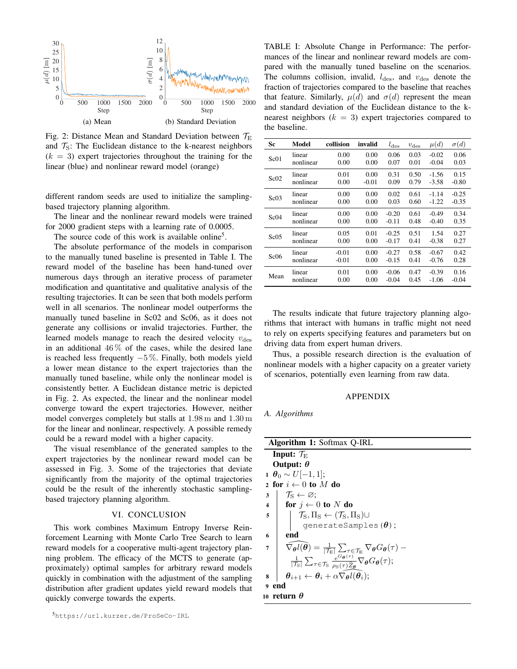<span id="page-4-4"></span>

Fig. 2: Distance Mean and Standard Deviation between  $\mathcal{T}_{E}$ and  $\mathcal{T}_S$ : The Euclidean distance to the k-nearest neighbors  $(k = 3)$  expert trajectories throughout the training for the linear (blue) and nonlinear reward model (orange)

different random seeds are used to initialize the samplingbased trajectory planning algorithm.

The linear and the nonlinear reward models were trained for 2000 gradient steps with a learning rate of 0.0005.

The source code of this work is available online<sup>[5](#page-4-2)</sup>.

The absolute performance of the models in comparison to the manually tuned baseline is presented in Table [I.](#page-4-3) The reward model of the baseline has been hand-tuned over numerous days through an iterative process of parameter modification and quantitative and qualitative analysis of the resulting trajectories. It can be seen that both models perform well in all scenarios. The nonlinear model outperforms the manually tuned baseline in Sc02 and Sc06, as it does not generate any collisions or invalid trajectories. Further, the learned models manage to reach the desired velocity  $v_{\text{des}}$ in an additional  $46\%$  of the cases, while the desired lane is reached less frequently  $-5\%$ . Finally, both models yield a lower mean distance to the expert trajectories than the manually tuned baseline, while only the nonlinear model is consistently better. A Euclidean distance metric is depicted in Fig. [2.](#page-4-4) As expected, the linear and the nonlinear model converge toward the expert trajectories. However, neither model converges completely but stalls at 1.98 m and 1.30 m for the linear and nonlinear, respectively. A possible remedy could be a reward model with a higher capacity.

The visual resemblance of the generated samples to the expert trajectories by the nonlinear reward model can be assessed in Fig. [3.](#page-5-1) Some of the trajectories that deviate significantly from the majority of the optimal trajectories could be the result of the inherently stochastic samplingbased trajectory planning algorithm.

#### VI. CONCLUSION

This work combines Maximum Entropy Inverse Reinforcement Learning with Monte Carlo Tree Search to learn reward models for a cooperative multi-agent trajectory planning problem. The efficacy of the MCTS to generate (approximately) optimal samples for arbitrary reward models quickly in combination with the adjustment of the sampling distribution after gradient updates yield reward models that quickly converge towards the experts.

<span id="page-4-3"></span>TABLE I: Absolute Change in Performance: The performances of the linear and nonlinear reward models are compared with the manually tuned baseline on the scenarios. The columns collision, invalid,  $l_{\text{des}}$ , and  $v_{\text{des}}$  denote the fraction of trajectories compared to the baseline that reaches that feature. Similarly,  $\mu(d)$  and  $\sigma(d)$  represent the mean and standard deviation of the Euclidean distance to the knearest neighbors  $(k = 3)$  expert trajectories compared to the baseline.

| Sc   | Model     | collision | invalid | $l_{\text{des}}$ | $v_{\text{des}}$ | $\mu(d)$ | $\sigma(d)$ |
|------|-----------|-----------|---------|------------------|------------------|----------|-------------|
| Sc01 | linear    | 0.00      | 0.00    | 0.06             | 0.03             | $-0.02$  | 0.06        |
|      | nonlinear | 0.00      | 0.00    | 0.07             | 0.01             | $-0.04$  | 0.03        |
| Sc02 | linear    | 0.01      | 0.00    | 0.31             | 0.50             | $-1.56$  | 0.15        |
|      | nonlinear | 0.00      | $-0.01$ | 0.09             | 0.79             | $-3.58$  | $-0.80$     |
| Sc03 | linear    | 0.00      | 0.00    | 0.02             | 0.61             | $-1.14$  | $-0.25$     |
|      | nonlinear | 0.00      | 0.00    | 0.03             | 0.60             | $-1.22$  | $-0.35$     |
| Sc04 | linear    | 0.00      | 0.00    | $-0.20$          | 0.61             | $-0.49$  | 0.34        |
|      | nonlinear | 0.00      | 0.00    | $-0.11$          | 0.48             | $-0.40$  | 0.35        |
| Sc05 | linear    | 0.05      | 0.01    | $-0.25$          | 0.51             | 1.54     | 0.27        |
|      | nonlinear | 0.00      | 0.00    | $-0.17$          | 0.41             | $-0.38$  | 0.27        |
| Sc06 | linear    | $-0.01$   | 0.00    | $-0.27$          | 0.58             | $-0.67$  | 0.42        |
|      | nonlinear | $-0.01$   | 0.00    | $-0.15$          | 0.41             | $-0.76$  | 0.28        |
| Mean | linear    | 0.01      | 0.00    | $-0.06$          | 0.47             | $-0.39$  | 0.16        |
|      | nonlinear | 0.00      | 0.00    | $-0.04$          | 0.45             | $-1.06$  | $-0.04$     |

The results indicate that future trajectory planning algorithms that interact with humans in traffic might not need to rely on experts specifying features and parameters but on driving data from expert human drivers.

Thus, a possible research direction is the evaluation of nonlinear models with a higher capacity on a greater variety of scenarios, potentially even learning from raw data.

## APPENDIX

*A. Algorithms*

<span id="page-4-1"></span><span id="page-4-0"></span>

| <b>Algorithm 1: Softmax Q-IRL</b>                                                                                                                                                                                                                                                                                                                                                                                                                                                                                                                              |  |  |  |  |  |
|----------------------------------------------------------------------------------------------------------------------------------------------------------------------------------------------------------------------------------------------------------------------------------------------------------------------------------------------------------------------------------------------------------------------------------------------------------------------------------------------------------------------------------------------------------------|--|--|--|--|--|
| Input: $\mathcal{T}_E$                                                                                                                                                                                                                                                                                                                                                                                                                                                                                                                                         |  |  |  |  |  |
| Output: $\theta$                                                                                                                                                                                                                                                                                                                                                                                                                                                                                                                                               |  |  |  |  |  |
| $1 \theta_0 \sim U[-1,1];$                                                                                                                                                                                                                                                                                                                                                                                                                                                                                                                                     |  |  |  |  |  |
| 2 for $i \leftarrow 0$ to M do                                                                                                                                                                                                                                                                                                                                                                                                                                                                                                                                 |  |  |  |  |  |
| $\upharpoonright \mathcal{T}_{\mathrm{S}} \leftarrow \varnothing;$<br>$\mathbf{3}$                                                                                                                                                                                                                                                                                                                                                                                                                                                                             |  |  |  |  |  |
| 4   for $j \leftarrow 0$ to N do                                                                                                                                                                                                                                                                                                                                                                                                                                                                                                                               |  |  |  |  |  |
| $ \quad  \quad \mathcal{T}_S, \Pi_S \leftarrow (\mathcal{T}_S, \Pi_S) \cup$<br>5                                                                                                                                                                                                                                                                                                                                                                                                                                                                               |  |  |  |  |  |
| qenerateSamples( $\theta$ );                                                                                                                                                                                                                                                                                                                                                                                                                                                                                                                                   |  |  |  |  |  |
| end<br>6                                                                                                                                                                                                                                                                                                                                                                                                                                                                                                                                                       |  |  |  |  |  |
| $\overline{7}$                                                                                                                                                                                                                                                                                                                                                                                                                                                                                                                                                 |  |  |  |  |  |
| $\widehat{\nabla_{\boldsymbol{\theta}}l(\boldsymbol{\theta})} = \frac{1}{ \mathcal{T}_{\rm E} }\sum_{\tau \in \mathcal{T}_{\rm E}}\nabla_{\boldsymbol{\theta}}G_{\boldsymbol{\theta}}(\tau) - \frac{1}{ \mathcal{T}_{\rm S} }\sum_{\tau \in \mathcal{T}_{\rm S}}\frac{e^{G_{\boldsymbol{\theta}}(\tau)}}{\rho_{\rm S}(\tau)\widehat{\mathcal{Z}_{\boldsymbol{\theta}}}}\nabla_{\boldsymbol{\theta}}G_{\boldsymbol{\theta}}(\tau); \ \boldsymbol{\theta}_{i+1} \leftarrow \boldsymbol{\theta}_i + \alpha \nabla_{\boldsymbol{\theta}}l(\boldsymbol{\theta}_i);$ |  |  |  |  |  |
| 8                                                                                                                                                                                                                                                                                                                                                                                                                                                                                                                                                              |  |  |  |  |  |
| 9 end                                                                                                                                                                                                                                                                                                                                                                                                                                                                                                                                                          |  |  |  |  |  |
| 10 return $\theta$                                                                                                                                                                                                                                                                                                                                                                                                                                                                                                                                             |  |  |  |  |  |

<span id="page-4-2"></span><sup>5</sup><https://url.kurzer.de/ProSeCo-IRL>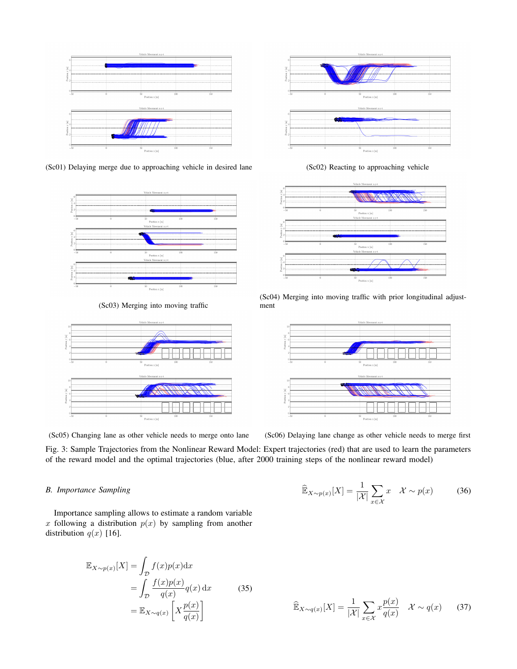<span id="page-5-1"></span>

(Sc01) Delaying merge due to approaching vehicle in desired lane (Sc02) Reacting to approaching vehicle



(Sc03) Merging into moving traffic







(Sc04) Merging into moving traffic with prior longitudinal adjustment



(Sc05) Changing lane as other vehicle needs to merge onto lane (Sc06) Delaying lane change as other vehicle needs to merge first

Fig. 3: Sample Trajectories from the Nonlinear Reward Model: Expert trajectories (red) that are used to learn the parameters of the reward model and the optimal trajectories (blue, after 2000 training steps of the nonlinear reward model)

# <span id="page-5-0"></span>*B. Importance Sampling*

Importance sampling allows to estimate a random variable x following a distribution  $p(x)$  by sampling from another distribution  $q(x)$  [16].

$$
\mathbb{E}_{X \sim p(x)}[X] = \int_{\mathcal{D}} f(x)p(x)dx
$$

$$
= \int_{\mathcal{D}} \frac{f(x)p(x)}{q(x)} q(x) dx
$$
(35)
$$
= \mathbb{E}_{X \sim q(x)} \left[ X \frac{p(x)}{q(x)} \right]
$$

$$
\widehat{\mathbb{E}}_{X \sim p(x)}[X] = \frac{1}{|\mathcal{X}|} \sum_{x \in \mathcal{X}} x \quad \mathcal{X} \sim p(x) \tag{36}
$$

$$
\widehat{\mathbb{E}}_{X \sim q(x)}[X] = \frac{1}{|\mathcal{X}|} \sum_{x \in \mathcal{X}} x \frac{p(x)}{q(x)} \quad \mathcal{X} \sim q(x) \tag{37}
$$